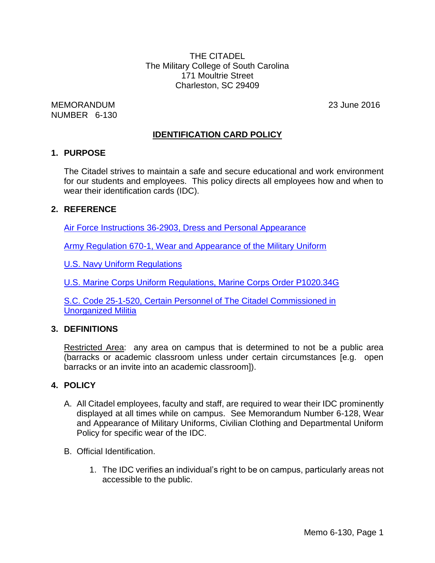THE CITADEL The Military College of South Carolina 171 Moultrie Street Charleston, SC 29409

MEMORANDUM 23 June 2016 NUMBER 6-130

# **IDENTIFICATION CARD POLICY**

### **1. PURPOSE**

The Citadel strives to maintain a safe and secure educational and work environment for our students and employees. This policy directs all employees how and when to wear their identification cards (IDC).

### **2. REFERENCE**

[Air Force Instructions 36-2903, Dress and Personal Appearance](http://dev.air-force.com/sites/air-force.com/files/USAirForceDress.pdf)

[Army Regulation 670-1, Wear and Appearance of the Military Uniform](http://www.apd.army.mil/pdffiles/r670_1.pdf)

[U.S. Navy Uniform Regulations](https://timemilitary.files.wordpress.com/2011/07/unif-navy.pdf)

[U.S. Marine Corps Uniform Regulations, Marine Corps Order P1020.34G](http://www.marines.mil/Portals/59/Publications/MCO%20P1020.34G%20W%20CH%201-5.pdf)

[S.C. Code 25-1-520, Certain Personnel of The Citadel Commissioned in](http://www.scstatehouse.gov/code/t25c001.php)  [Unorganized Militia](http://www.scstatehouse.gov/code/t25c001.php)

### **3. DEFINITIONS**

Restricted Area: any area on campus that is determined to not be a public area (barracks or academic classroom unless under certain circumstances [e.g. open barracks or an invite into an academic classroom]).

### **4. POLICY**

- A. All Citadel employees, faculty and staff, are required to wear their IDC prominently displayed at all times while on campus. See Memorandum Number 6-128, Wear and Appearance of Military Uniforms, Civilian Clothing and Departmental Uniform Policy for specific wear of the IDC.
- B. Official Identification.
	- 1. The IDC verifies an individual's right to be on campus, particularly areas not accessible to the public.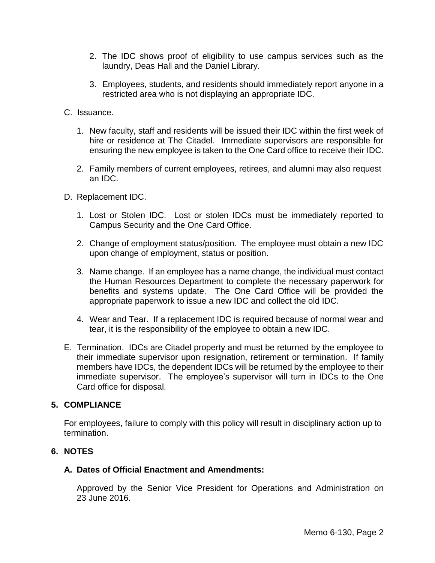- 2. The IDC shows proof of eligibility to use campus services such as the laundry, Deas Hall and the Daniel Library.
- 3. Employees, students, and residents should immediately report anyone in a restricted area who is not displaying an appropriate IDC.
- C. Issuance.
	- 1. New faculty, staff and residents will be issued their IDC within the first week of hire or residence at The Citadel. Immediate supervisors are responsible for ensuring the new employee is taken to the One Card office to receive their IDC.
	- 2. Family members of current employees, retirees, and alumni may also request an IDC.
- D. Replacement IDC.
	- 1. Lost or Stolen IDC. Lost or stolen IDCs must be immediately reported to Campus Security and the One Card Office.
	- 2. Change of employment status/position. The employee must obtain a new IDC upon change of employment, status or position.
	- 3. Name change. If an employee has a name change, the individual must contact the Human Resources Department to complete the necessary paperwork for benefits and systems update. The One Card Office will be provided the appropriate paperwork to issue a new IDC and collect the old IDC.
	- 4. Wear and Tear. If a replacement IDC is required because of normal wear and tear, it is the responsibility of the employee to obtain a new IDC.
- E. Termination. IDCs are Citadel property and must be returned by the employee to their immediate supervisor upon resignation, retirement or termination. If family members have IDCs, the dependent IDCs will be returned by the employee to their immediate supervisor. The employee's supervisor will turn in IDCs to the One Card office for disposal.

### **5. COMPLIANCE**

For employees, failure to comply with this policy will result in disciplinary action up to termination.

### **6. NOTES**

#### **A. Dates of Official Enactment and Amendments:**

Approved by the Senior Vice President for Operations and Administration on 23 June 2016.